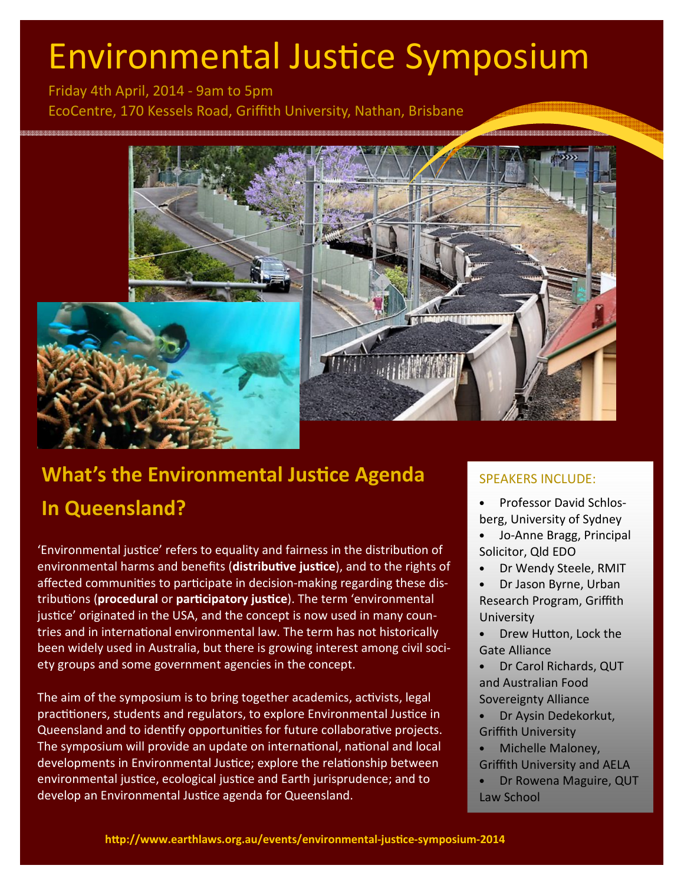# Environmental Justice Symposium

Friday 4th April, 2014 - 9am to 5pm EcoCentre, 170 Kessels Road, Griffith University, Nathan, Brisbane



## What's the Environmental Justice Agenda In Queensland?

'Environmental justice' refers to equality and fairness in the distribution of environmental harms and benefits (distributive justice), and to the rights of affected communities to participate in decision-making regarding these distributions (procedural or participatory justice). The term 'environmental justice' originated in the USA, and the concept is now used in many countries and in international environmental law. The term has not historically been widely used in Australia, but there is growing interest among civil society groups and some government agencies in the concept.

The aim of the symposium is to bring together academics, activists, legal practitioners, students and regulators, to explore Environmental Justice in Queensland and to identify opportunities for future collaborative projects. The symposium will provide an update on international, national and local developments in Environmental Justice; explore the relationship between environmental justice, ecological justice and Earth jurisprudence; and to develop an Environmental Justice agenda for Queensland.

#### SPEAKERS INCLUDE:

- Professor David Schlosberg, University of Sydney
- Jo-Anne Bragg, Principal Solicitor, Qld EDO
- Dr Wendy Steele, RMIT
- Dr Jason Byrne, Urban Research Program, Griffith **University**
- Drew Hutton, Lock the Gate Alliance
- Dr Carol Richards, QUT and Australian Food Sovereignty Alliance
- Dr Aysin Dedekorkut, Griffith University
- Michelle Maloney, Griffith University and AELA
- Dr Rowena Maguire, QUT Law School